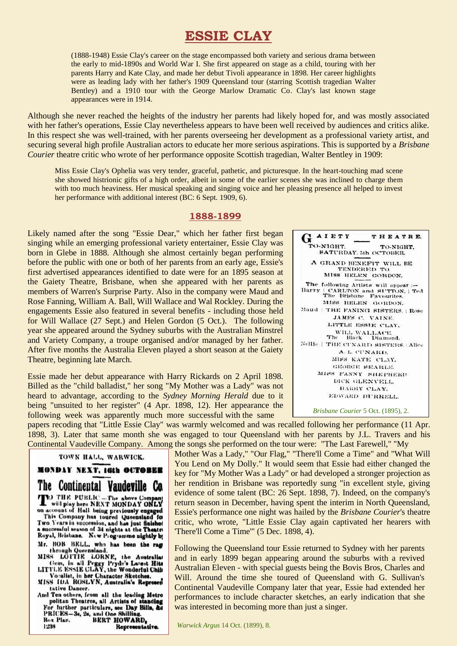# **ESSIE CLAY**

(1888-1948) Essie Clay's career on the stage encompassed both variety and serious drama between the early to mid-1890s and World War I. She first appeared on stage as a child, touring with her parents Harry and Kate Clay, and made her debut Tivoli appearance in 1898. Her career highlights were as leading lady with her father's 1909 Queensland tour (starring Scottish tragedian Walter Bentley) and a 1910 tour with the George Marlow Dramatic Co. Clay's last known stage appearances were in 1914.

Although she never reached the heights of the industry her parents had likely hoped for, and was mostly associated with her father's operations, Essie Clay nevertheless appears to have been well received by audiences and critics alike. In this respect she was well-trained, with her parents overseeing her development as a professional variety artist, and securing several high profile Australian actors to educate her more serious aspirations. This is supported by a *Brisbane Courier* theatre critic who wrote of her performance opposite Scottish tragedian, Walter Bentley in 1909:

Miss Essie Clay's Ophelia was very tender, graceful, pathetic, and picturesque. In the heart-touching mad scene she showed histrionic gifts of a high order, albeit in some of the earlier scenes she was inclined to charge them with too much heaviness. Her musical speaking and singing voice and her pleasing presence all helped to invest her performance with additional interest (BC: 6 Sept. 1909, 6).

#### **1888-1899**

Likely named after the song "Essie Dear," which her father first began singing while an emerging professional variety entertainer, Essie Clay was born in Glebe in 1888. Although she almost certainly began performing before the public with one or both of her parents from an early age, Essie's first advertised appearances identified to date were for an 1895 season at the Gaiety Theatre, Brisbane, when she appeared with her parents as members of Warren's Surprise Party. Also in the company were Maud and Rose Fanning, William A. Ball, Will Wallace and Wal Rockley. During the engagements Essie also featured in several benefits - including those held for Will Wallace (27 Sept.) and Helen Gordon (5 Oct.). The following year she appeared around the Sydney suburbs with the Australian Minstrel and Variety Company, a troupe organised and/or managed by her father. After five months the Australia Eleven played a short season at the Gaiety Theatre, beginning late March.

Essie made her debut appearance with Harry Rickards on 2 April 1898. Billed as the "child balladist," her song "My Mother was a Lady" was not heard to advantage, according to the *Sydney Morning Herald* due to it being "unsuited to her register" (4 Apr. 1898, 12). Her appearance the following week was apparently much more successful with the same



THEATRE.

TO.NIGHT

 $G$ <sup>AIETY</sup>

TO-NIGHT.

papers recoding that "Little Essie Clay" was warmly welcomed and was recalled following her performance (11 Apr. 1898, 3). Later that same month she was engaged to tour Queensland with her parents by J.L. Travers and his Continental Vaudeville Company. Among the songs she performed on the tour were: "The Last Farewell," "My

TOWN HALL, WARWICK.

MONDAY NEXT, 16th OCTOBER The Continental Vandeville Co. TO THE PUBLIC - The above Company<br>will play here NEXT MONDAY ONLY<br>on acount of Hall being previously engaged This Company has toured Queensland Two Years in succession, and has just finished successful season of 34 nights at the Theatre Royal, Brisbane. New Programme nightly by Novai, Brisbane. New Programme nightly by<br>Mr. BOB BELL, who has been the rage<br>through Queensland.<br>MISS LOTTIE LORNE, the Australiat<br>Cem, in all Pregry Pryde's Latest Hite<br>LITTLE ESSIE CLAY, the Wonderful Chile<br>Vocalist, in

Vocalist, in her Character Sketches.

MISS IDA ROSLYN, Australia's Represent tative Dancer.

And Ten others, from all the leading Metro politan Theatres, all Artists of standing For further particulars, see Day Bills, &o PRICES-3s, 2s, and One Shilling. Box Plan. **BERT HOWARD.** 1238 Representative.

Mother Was a Lady," "Our Flag," "There'll Come a Time" and "What Will You Lend on My Dolly." It would seem that Essie had either changed the key for "My Mother Was a Lady" or had developed a stronger projection as her rendition in Brisbane was reportedly sung "in excellent style, giving evidence of some talent (BC: 26 Sept. 1898, 7). Indeed, on the company's return season in December, having spent the interim in North Queensland, Essie's performance one night was hailed by the *Brisbane Courier*'s theatre critic, who wrote, "Little Essie Clay again captivated her hearers with 'There'll Come a Time'" (5 Dec. 1898, 4).

Following the Queensland tour Essie returned to Sydney with her parents and in early 1899 began appearing around the suburbs with a revived Australian Eleven - with special guests being the Bovis Bros, Charles and Will. Around the time she toured of Queensland with G. Sullivan's Continental Vaudeville Company later that year, Essie had extended her performances to include character sketches, an early indication that she was interested in becoming more than just a singer.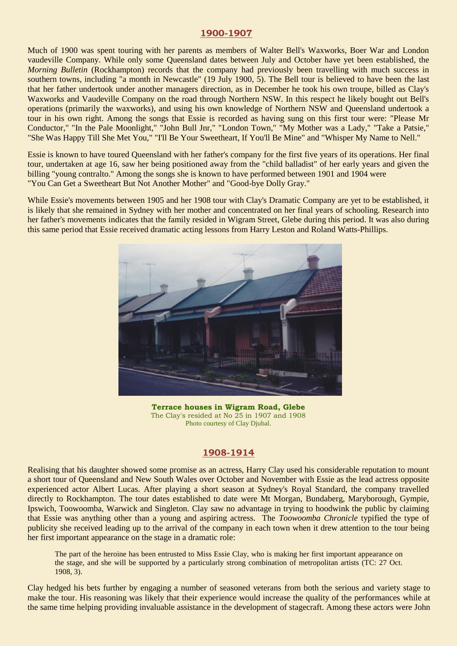#### **1900-1907**

Much of 1900 was spent touring with her parents as members of Walter Bell's Waxworks, Boer War and London vaudeville Company. While only some Queensland dates between July and October have yet been established, the *Morning Bulletin* (Rockhampton) records that the company had previously been travelling with much success in southern towns, including "a month in Newcastle" (19 July 1900, 5). The Bell tour is believed to have been the last that her father undertook under another managers direction, as in December he took his own troupe, billed as Clay's Waxworks and Vaudeville Company on the road through Northern NSW. In this respect he likely bought out Bell's operations (primarily the waxworks), and using his own knowledge of Northern NSW and Queensland undertook a tour in his own right. Among the songs that Essie is recorded as having sung on this first tour were: "Please Mr Conductor," "In the Pale Moonlight," "John Bull Jnr," "London Town," "My Mother was a Lady," "Take a Patsie," "She Was Happy Till She Met You," "I'll Be Your Sweetheart, If You'll Be Mine" and "Whisper My Name to Nell."

Essie is known to have toured Queensland with her father's company for the first five years of its operations. Her final tour, undertaken at age 16, saw her being positioned away from the "child balladist" of her early years and given the billing "young contralto." Among the songs she is known to have performed between 1901 and 1904 were "You Can Get a Sweetheart But Not Another Mother" and "Good-bye Dolly Gray."

While Essie's movements between 1905 and her 1908 tour with Clay's Dramatic Company are yet to be established, it is likely that she remained in Sydney with her mother and concentrated on her final years of schooling. Research into her father's movements indicates that the family resided in Wigram Street, Glebe during this period. It was also during this same period that Essie received dramatic acting lessons from Harry Leston and Roland Watts-Phillips.



**Terrace houses in Wigram Road, Glebe**  The Clay's resided at No 25 in 1907 and 1908 Photo courtesy of Clay Djubal.

### **1908-1914**

Realising that his daughter showed some promise as an actress, Harry Clay used his considerable reputation to mount a short tour of Queensland and New South Wales over October and November with Essie as the lead actress opposite experienced actor Albert Lucas. After playing a short season at Sydney's Royal Standard, the company travelled directly to Rockhampton. The tour dates established to date were Mt Morgan, Bundaberg, Maryborough, Gympie, Ipswich, Toowoomba, Warwick and Singleton. Clay saw no advantage in trying to hoodwink the public by claiming that Essie was anything other than a young and aspiring actress. The *Toowoomba Chronicle* typified the type of publicity she received leading up to the arrival of the company in each town when it drew attention to the tour being her first important appearance on the stage in a dramatic role:

The part of the heroine has been entrusted to Miss Essie Clay, who is making her first important appearance on the stage, and she will be supported by a particularly strong combination of metropolitan artists (TC: 27 Oct. 1908, 3).

Clay hedged his bets further by engaging a number of seasoned veterans from both the serious and variety stage to make the tour. His reasoning was likely that their experience would increase the quality of the performances while at the same time helping providing invaluable assistance in the development of stagecraft. Among these actors were John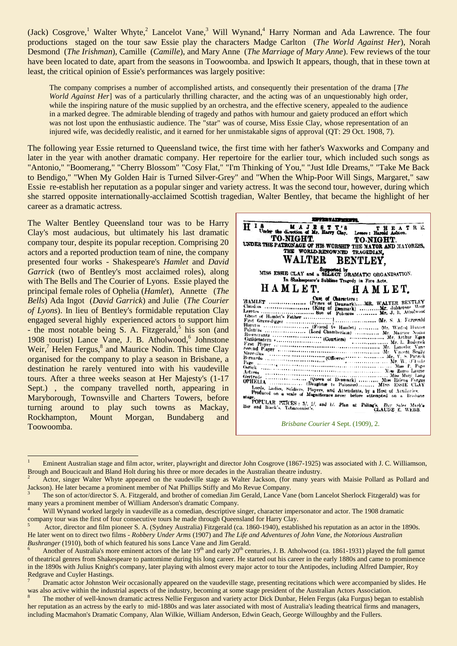(Jack) Cosgrove,<sup>1</sup> Walter Whyte,<sup>2</sup> Lancelot Vane,<sup>3</sup> Will Wynand,<sup>4</sup> Harry Norman and Ada Lawrence. The four productions staged on the tour saw Essie play the characters Madge Carlton (*The World Against Her*), Norah Desmond (*The Irishman*), Camille (*Camille*), and Mary Anne (*The Marriage of Mary Anne*). Few reviews of the tour have been located to date, apart from the seasons in Toowoomba. and Ipswich It appears, though, that in these town at least, the critical opinion of Essie's performances was largely positive:

The company comprises a number of accomplished artists, and consequently their presentation of the drama [*The World Against Her*] was of a particularly thrilling character, and the acting was of an unquestionably high order, while the inspiring nature of the music supplied by an orchestra, and the effective scenery, appealed to the audience in a marked degree. The admirable blending of tragedy and pathos with humour and gaiety produced an effort which was not lost upon the enthusiastic audience. The "star" was of course, Miss Essie Clay, whose representation of an injured wife, was decidedly realistic, and it earned for her unmistakable signs of approval (QT: 29 Oct. 1908, 7).

The following year Essie returned to Queensland twice, the first time with her father's Waxworks and Company and later in the year with another dramatic company. Her repertoire for the earlier tour, which included such songs as "Antonio," "Boomerang," "Cherry Blossom" "Cosy Flat," "I'm Thinking of You," "Just Idle Dreams," "Take Me Back to Bendigo," "When My Golden Hair is Turned Silver-Grey" and "When the Whip-Poor Will Sings, Margaret," saw Essie re-establish her reputation as a popular singer and variety actress. It was the second tour, however, during which she starred opposite internationally-acclaimed Scottish tragedian, Walter Bentley, that became the highlight of her career as a dramatic actress.

The Walter Bentley Queensland tour was to be Harry Clay's most audacious, but ultimately his last dramatic company tour, despite its popular reception. Comprising 20 actors and a reported production team of nine, the company presented four works - Shakespeare's *Hamlet* and *David Garrick* (two of Bentley's most acclaimed roles), along with The Bells and The Courier of Lyons. Essie played the principal female roles of Ophelia (*Hamlet*), Annette (*The Bells*) Ada Ingot (*David Garrick*) and Julie (*The Courier of Lyons*). In lieu of Bentley's formidable reputation Clay engaged several highly experienced actors to support him - the most notable being  $\hat{S}$ . A. Fitzgerald,<sup>5</sup> his son (and 1908 tourist) Lance Vane, J. B. Atholwood,<sup>6</sup> Johnstone  $Weir<sub>1</sub><sup>7</sup>$  Helen Fergus,  $8$  and Maurice Nodin. This time Clay organised for the company to play a season in Brisbane, a destination he rarely ventured into with his vaudeville tours. After a three weeks season at Her Majesty's (1-17 Sept.) , the company travelled north, appearing in Maryborough, Townsville and Charters Towers, before turning around to play such towns as Mackay, Rockhampton, Mount Morgan, Bundaberg and Toowoomba.

1

| 77237AFF70270.                                                                                                                                                                                                                                                                                                                                                                                                                            |  |  |  |  |
|-------------------------------------------------------------------------------------------------------------------------------------------------------------------------------------------------------------------------------------------------------------------------------------------------------------------------------------------------------------------------------------------------------------------------------------------|--|--|--|--|
| 8 M A J R S T Y'S<br>R E.<br>EAT<br>тн<br>Lessee: Harold Ashton.<br><b>TO-NIGHT.</b><br>TO NIGHT<br>UNDER THE PATRONAGE OF HIS WORSHIP THE MATOR AND MAYORESS.<br>THE WORLD-RENOWNED TRAGEDIAN,<br>WALTER<br><b>BENTLEY.</b><br>Supported by<br>MISS ESSIE CLAY and a SELECT DRAMATIC ORGANISATION.<br>In Shakespeare's Sublime Tragedy in Five Acts.                                                                                     |  |  |  |  |
| НАМЬЕТ.<br>HAMLET.                                                                                                                                                                                                                                                                                                                                                                                                                        |  |  |  |  |
| Cast of Characters:<br>HAMLET  (Prince of Denmark)MR. WALTER BENTLEY<br>Guildenstern<br>Lords, Ladies, Soldiers, Players, and Attendants, by a Host of Auxiliaries.<br>Produced on a wale of Magnificence never before attempted on a Brisbane<br>at age.<br>POPULAR PHICES: 3/, 2/, and 1/. Plan at Paling's, Day Sales Marble<br>Bar and Black's Tobacconist's.<br><b>CLAUDE E. WEBB.</b><br><i>Brisbane Courier</i> 4 Sept. (1909), 2. |  |  |  |  |

<sup>&</sup>lt;sup>1</sup> Eminent Australian stage and film actor, writer, playwright and director John Cosgrove (1867-1925) was associated with J. C. Williamson, Brough and Boucicault and Bland Holt during his three or more decades in the Australian theatre industry.

<sup>3</sup> The son of actor/director S. A. Fitzgerald, and brother of comedian Jim Gerald, Lance Vane (born Lancelot Sherlock Fitzgerald) was for many years a prominent member of William Anderson's dramatic Company.

<sup>2</sup> Actor, singer Walter Whyte appeared on the vaudeville stage as Walter Jackson, (for many years with Maisie Pollard as Pollard and Jackson). He later became a prominent member of Nat Phillips Stiffy and Mo Revue Company.

Will Wynand worked largely in vaudeville as a comedian, descriptive singer, character impersonator and actor. The 1908 dramatic company tour was the first of four consecutive tours he made through Queensland for Harry Clay.

<sup>5</sup> Actor, director and film pioneer S. A. (Sydney Australia) Fitzgerald (ca. 1860-1940), established his reputation as an actor in the 1890s. He later went on to direct two films - *Robbery Under Arms* (1907) and *The Life and Adventures of John Vane, the Notorious Australian Bushranger* (1910), both of which featured his sons Lance Vane and Jim Gerald.

Another of Australia's more eminent actors of the late  $19<sup>th</sup>$  and early  $20<sup>th</sup>$  centuries, J. B. Atholwood (ca. 1861-1931) played the full gamut of theatrical genres from Shakespeare to pantomime during his long career. He started out his career in the early 1880s and came to prominence in the 1890s with Julius Knight's company, later playing with almost every major actor to tour the Antipodes, including Alfred Dampier, Roy Redgrave and Cuyler Hastings.

<sup>7</sup> Dramatic actor Johnston Weir occasionally appeared on the vaudeville stage, presenting recitations which were accompanied by slides. He was also active within the industrial aspects of the industry, becoming at some stage president of the Australian Actors Association.

The mother of well-known dramatic actress Nellie Ferguson and variety actor Dick Dunbar, Helen Fergus (aka Furgus) began to establish her reputation as an actress by the early to mid-1880s and was later associated with most of Australia's leading theatrical firms and managers, including Macmahon's Dramatic Company, Alan Wilkie, William Anderson, Edwin Geach, George Willoughby and the Fullers.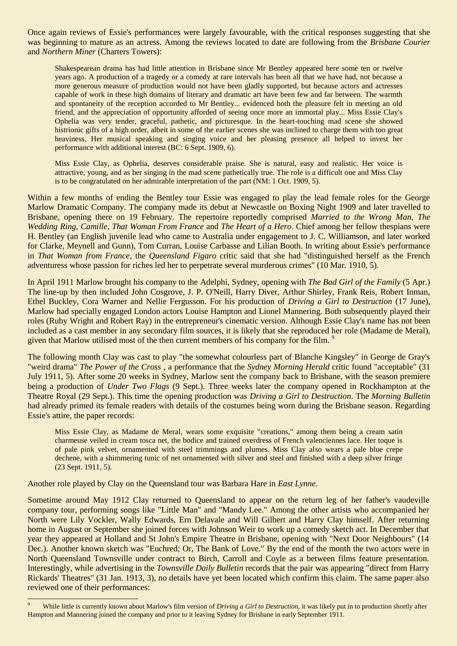Once again reviews of Essie's performances were largely favourable, with the critical responses suggesting that she was beginning to mature as an actress. Among the reviews located to date are following from the *Brisbane Courier* and *Northern Miner* (Charters Towers):

Shakespearean drama has had little attention in Brisbane since Mr Bentley appeared here some ten or twelve years ago. A production of a tragedy or a comedy at rare intervals has been all that we have had, not because a more generous measure of production would not have been gladly supported, but because actors and actresses capable of work in these high domains of literary and dramatic art have been few and far between. The warmth and spontaneity of the reception accorded to Mr Bentley... evidenced both the pleasure felt in meeting an old friend, and the appreciation of opportunity afforded of seeing once more an immortal play... Miss Essie Clay's Ophelia was very tender, graceful, pathetic, and picturesque. In the heart-touching mad scene she showed histrionic gifts of a high order, albeit in some of the earlier scenes she was inclined to charge them with too great heaviness. Her musical speaking and singing voice and her pleasing presence all helped to invest her performance with additional interest (BC: 6 Sept. 1909, 6).

Miss Essie Clay, as Ophelia, deserves considerable praise. She is natural, easy and realistic. Her voice is attractive, young, and as her singing in the mad scene pathetically true. The role is a difficult one and Miss Clay is to be congratulated on her admirable interpretation of the part (NM: 1 Oct. 1909, 5).

Within a few months of ending the Bentley tour Essie was engaged to play the lead female roles for the George Marlow Dramatic Company. The company made its debut at Newcastle on Boxing Night 1909 and later travelled to Brisbane, opening there on 19 February. The repertoire reportedly comprised *Married to the Wrong Man*, *The Wedding Ring, Camille*, *That Woman From France* and *The Heart of a Hero*. Chief among her fellow thespians were H. Bentley (an English juvenile lead who came to Australia under engagement to J. C. Williamson, and later worked for Clarke, Meynell and Gunn), Tom Curran, Louise Carbasse and Lilian Booth. In writing about Essie's performance in *That Woman from France*, the *Queensland Figaro* critic said that she had "distinguished herself as the French adventuress whose passion for riches led her to perpetrate several murderous crimes" (10 Mar. 1910, 5).

In April 1911 Marlow brought his company to the Adelphi, Sydney, opening with *The Bad Girl of the Family* (5 Apr.) The line-up by then included John Cosgrove, J. P. O'Neill, Harry Diver, Arthur Shirley, Frank Reis, Robert Inman, Ethel Buckley, Cora Warner and Nellie Fergusson. For his production of *Driving a Girl to Destruction* (17 June), Marlow had specially engaged London actors Louise Hampton and Lionel Mannering. Both subsequently played their roles (Ruby Wright and Robert Ray) in the entrepreneur's cinematic version. Although Essie Clay's name has not been included as a cast member in any secondary film sources, it is likely that she reproduced her role (Madame de Meral), given that Marlow utilised most of the then current members of his company for the film.<sup>9</sup>

The following month Clay was cast to play "the somewhat colourless part of Blanche Kingsley" in George de Gray's "weird drama" *The Power of the Cross ,* a performance that the *Sydney Morning Herald* critic found "acceptable" (31 July 1911, 5). After some 20 weeks in Sydney, Marlow sent the company back to Brisbane, with the season premiere being a production of *Under Two Flags* (9 Sept.). Three weeks later the company opened in Rockhampton at the Theatre Royal (29 Sept.). This time the opening production was *Driving a Girl to Destruction*. The *Morning Bulletin* had already primed its female readers with details of the costumes being worn during the Brisbane season. Regarding Essie's attire, the paper records:

Miss Essie Clay, as Madame de Meral, wears some exquisite "creations," among them being a cream satin charmeuse veiled in cream tosca net, the bodice and trained overdress of French valenciennes lace. Her toque is of pale pink velvet, ornamented with steel trimmings and plumes. Miss Clay also wears a pale blue crepe dechene, with a shimmering tunic of net ornamented with silver and steel and finished with a deep silver fringe (23 Sept. 1911, 5).

Another role played by Clay on the Queensland tour was Barbara Hare in *East Lynne*.

1

Sometime around May 1912 Clay returned to Queensland to appear on the return leg of her father's vaudeville company tour, performing songs like "Little Man" and "Mandy Lee." Among the other artists who accompanied her North were Lily Vockler, Wally Edwards, Ern Delavale and Will Gilbert and Harry Clay himself. After returning home in August or September she joined forces with Johnson Weir to work up a comedy sketch act. In December that year they appeared at Holland and St John's Empire Theatre in Brisbane, opening with "Next Door Neighbours" (14 Dec.). Another known sketch was "Euchred; Or, The Bank of Love." By the end of the month the two actors were in North Queensland Townsville under contract to Birch, Carroll and Coyle as a between films feature presentation. Interestingly, while advertising in the *Townsville Daily Bulletin* records that the pair was appearing "direct from Harry Rickards' Theatres" (31 Jan. 1913, 3), no details have yet been located which confirm this claim. The same paper also reviewed one of their performances:

<sup>9</sup> While little is currently known about Marlow's film version of *Driving a Girl to Destruction*, it was likely put in to production shortly after Hampton and Mannering joined the company and prior to it leaving Sydney for Brisbane in early September 1911.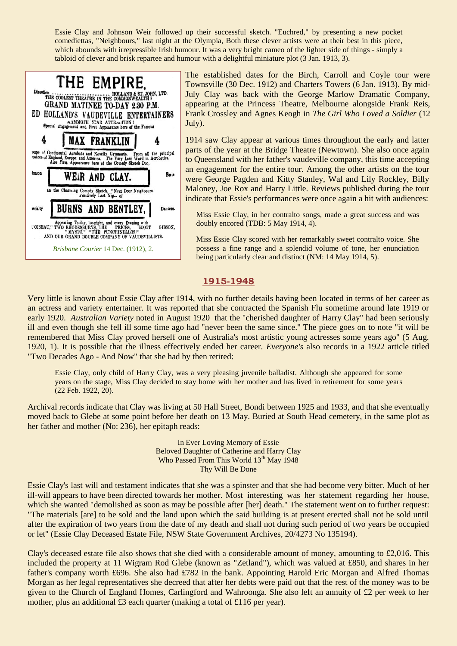Essie Clay and Johnson Weir followed up their successful sketch. "Euchred," by presenting a new pocket comediettas, "Neighbours," last night at the Olympia, Both these clever artists were at their best in this piece, which abounds with irrepressible Irish humour. It was a very bright cameo of the lighter side of things - simply a tabloid of clever and brisk repartee and humour with a delightful miniature plot (3 Jan. 1913, 3).

| THE EMPIRE.<br>$\fbox{\parbox{0.04\textwidth}{\begin{minipage}{0.9\linewidth} \textbf{B0:} \textbf{LAND & ST. JOHN, LTD.} \end{minipage}} \begin{minipage}{0.9\linewidth} \textbf{B0:} \textbf{LAND & ST. JOHN, LTD.} \end{minipage} \vspace{-.05in}$<br>GRAND MATINEE TO-DAY 2.30 P.M.<br>ED HOLLAND'S VAUDEVILLE ENTERTAINERS<br>AAMMOTH STAR ATTRACTION!<br>Special Engagement and First Appearance here of the Famous |                                                       |                        |                     |  |          |
|---------------------------------------------------------------------------------------------------------------------------------------------------------------------------------------------------------------------------------------------------------------------------------------------------------------------------------------------------------------------------------------------------------------------------|-------------------------------------------------------|------------------------|---------------------|--|----------|
|                                                                                                                                                                                                                                                                                                                                                                                                                           |                                                       |                        | <b>MAX FRANKLIN</b> |  |          |
| oupe of Continental Acrobats and Novelty Gymnasts. From all the principal<br>teatres of England, Europe, and America. The Very Last Word in Acrobatics.<br>Also First Appearance here of the Comedy Sketch Duo,                                                                                                                                                                                                           |                                                       |                        |                     |  |          |
|                                                                                                                                                                                                                                                                                                                                                                                                                           |                                                       |                        |                     |  |          |
| hnson                                                                                                                                                                                                                                                                                                                                                                                                                     |                                                       |                        | WEIR AND CLAY.      |  | Fasie    |
|                                                                                                                                                                                                                                                                                                                                                                                                                           | An the Charming Comedy Sketch, "Next Door Neighbours. | rositively Last Nig of |                     |  |          |
| ecialty                                                                                                                                                                                                                                                                                                                                                                                                                   | BURNS AND BENTLEY,                                    |                        |                     |  | Dancers. |

The established dates for the Birch, Carroll and Coyle tour were Townsville (30 Dec. 1912) and Charters Towers (6 Jan. 1913). By mid-July Clay was back with the George Marlow Dramatic Company, appearing at the Princess Theatre, Melbourne alongside Frank Reis, Frank Crossley and Agnes Keogh in *The Girl Who Loved a Soldier* (12 July).

1914 saw Clay appear at various times throughout the early and latter parts of the year at the Bridge Theatre (Newtown). She also once again to Queensland with her father's vaudeville company, this time accepting an engagement for the entire tour. Among the other artists on the tour were George Pagden and Kitty Stanley, Wal and Lily Rockley, Billy Maloney, Joe Rox and Harry Little. Reviews published during the tour indicate that Essie's performances were once again a hit with audiences:

Miss Essie Clay, in her contralto songs, made a great success and was doubly encored (TDB: 5 May 1914, 4).

Miss Essie Clay scored with her remarkably sweet contralto voice. She possess a fine range and a splendid volume of tone, her enunciation being particularly clear and distinct (NM: 14 May 1914, 5).

# **1915-1948**

Very little is known about Essie Clay after 1914, with no further details having been located in terms of her career as an actress and variety entertainer. It was reported that she contracted the Spanish Flu sometime around late 1919 or early 1920. *Australian Variety* noted in August 1920 that the "cherished daughter of Harry Clay" had been seriously ill and even though she fell ill some time ago had "never been the same since." The piece goes on to note "it will be remembered that Miss Clay proved herself one of Australia's most artistic young actresses some years ago" (5 Aug. 1920, 1). It is possible that the illness effectively ended her career. *Everyone's* also records in a 1922 article titled "Two Decades Ago - And Now" that she had by then retired:

Essie Clay, only child of Harry Clay, was a very pleasing juvenile balladist. Although she appeared for some years on the stage, Miss Clay decided to stay home with her mother and has lived in retirement for some years (22 Feb. 1922, 20).

Archival records indicate that Clay was living at 50 Hall Street, Bondi between 1925 and 1933, and that she eventually moved back to Glebe at some point before her death on 13 May. Buried at South Head cemetery, in the same plot as her father and mother (No: 236), her epitaph reads:

> In Ever Loving Memory of Essie Beloved Daughter of Catherine and Harry Clay Who Passed From This World 13<sup>th</sup> May 1948 Thy Will Be Done

Essie Clay's last will and testament indicates that she was a spinster and that she had become very bitter. Much of her ill-will appears to have been directed towards her mother. Most interesting was her statement regarding her house, which she wanted "demolished as soon as may be possible after [her] death." The statement went on to further request: "The materials [are] to be sold and the land upon which the said building is at present erected shall not be sold until after the expiration of two years from the date of my death and shall not during such period of two years be occupied or let" (Essie Clay Deceased Estate File, NSW State Government Archives, 20/4273 No 135194).

Clay's deceased estate file also shows that she died with a considerable amount of money, amounting to £2,016. This included the property at 11 Wigram Rod Glebe (known as "Zetland"), which was valued at £850, and shares in her father's company worth £696. She also had £782 in the bank. Appointing Harold Eric Morgan and Alfred Thomas Morgan as her legal representatives she decreed that after her debts were paid out that the rest of the money was to be given to the Church of England Homes, Carlingford and Wahroonga. She also left an annuity of £2 per week to her mother, plus an additional £3 each quarter (making a total of £116 per year).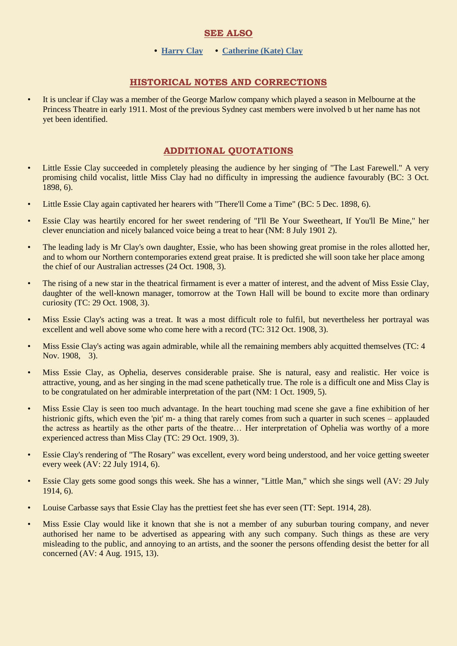# **SEE ALSO**

#### **• [Harry Clay](http://ozvta.com/entrepreneurs-a-f/) • [Catherine \(Kate\) Clay](http://ozvta.com/practitioners-c/)**

# **HISTORICAL NOTES AND CORRECTIONS**

• It is unclear if Clay was a member of the George Marlow company which played a season in Melbourne at the Princess Theatre in early 1911. Most of the previous Sydney cast members were involved b ut her name has not yet been identified.

# **ADDITIONAL QUOTATIONS**

- Little Essie Clay succeeded in completely pleasing the audience by her singing of "The Last Farewell." A very promising child vocalist, little Miss Clay had no difficulty in impressing the audience favourably (BC: 3 Oct. 1898, 6).
- Little Essie Clay again captivated her hearers with "There'll Come a Time" (BC: 5 Dec. 1898, 6).
- Essie Clay was heartily encored for her sweet rendering of "I'll Be Your Sweetheart, If You'll Be Mine," her clever enunciation and nicely balanced voice being a treat to hear (NM: 8 July 1901 2).
- The leading lady is Mr Clay's own daughter, Essie, who has been showing great promise in the roles allotted her, and to whom our Northern contemporaries extend great praise. It is predicted she will soon take her place among the chief of our Australian actresses (24 Oct. 1908, 3).
- The rising of a new star in the theatrical firmament is ever a matter of interest, and the advent of Miss Essie Clay, daughter of the well-known manager, tomorrow at the Town Hall will be bound to excite more than ordinary curiosity (TC: 29 Oct. 1908, 3).
- Miss Essie Clay's acting was a treat. It was a most difficult role to fulfil, but nevertheless her portrayal was excellent and well above some who come here with a record (TC: 312 Oct. 1908, 3).
- Miss Essie Clay's acting was again admirable, while all the remaining members ably acquitted themselves (TC: 4 Nov. 1908, 3).
- Miss Essie Clay, as Ophelia, deserves considerable praise. She is natural, easy and realistic. Her voice is attractive, young, and as her singing in the mad scene pathetically true. The role is a difficult one and Miss Clay is to be congratulated on her admirable interpretation of the part (NM: 1 Oct. 1909, 5).
- Miss Essie Clay is seen too much advantage. In the heart touching mad scene she gave a fine exhibition of her histrionic gifts, which even the 'pit' m- a thing that rarely comes from such a quarter in such scenes – applauded the actress as heartily as the other parts of the theatre… Her interpretation of Ophelia was worthy of a more experienced actress than Miss Clay (TC: 29 Oct. 1909, 3).
- Essie Clay's rendering of "The Rosary" was excellent, every word being understood, and her voice getting sweeter every week (AV: 22 July 1914, 6).
- Essie Clay gets some good songs this week. She has a winner, "Little Man," which she sings well (AV: 29 July 1914, 6).
- Louise Carbasse says that Essie Clay has the prettiest feet she has ever seen (TT: Sept. 1914, 28).
- Miss Essie Clay would like it known that she is not a member of any suburban touring company, and never authorised her name to be advertised as appearing with any such company. Such things as these are very misleading to the public, and annoying to an artists, and the sooner the persons offending desist the better for all concerned (AV: 4 Aug. 1915, 13).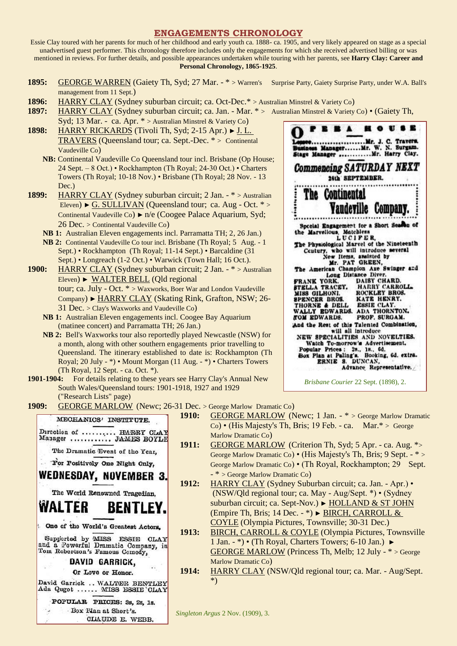#### **ENGAGEMENTS CHRONOLOGY**

Essie Clay toured with her parents for much of her childhood and early youth ca. 1888- ca. 1905, and very likely appeared on stage as a special unadvertised guest performer. This chronology therefore includes only the engagements for which she received advertised billing or was mentioned in reviews. For further details, and possible appearances undertaken while touring with her parents, see **Harry Clay: Career and Personal Chronology, 1865-1925**.

- 1895: GEORGE WARREN (Gaiety Th, Syd; 27 Mar. \* > Warren's Surprise Party, Gaiety Surprise Party, under W.A. Ball's management from 11 Sept.)
- **1896:** HARRY CLAY (Sydney suburban circuit; ca. Oct-Dec.\* > Australian Minstrel & Variety Co)
- **1897:** HARRY CLAY (Sydney suburban circuit; ca. Jan. Mar. \* > Australian Minstrel & Variety Co) (Gaiety Th,
- Syd; 13 Mar. ca. Apr. \* > Australian Minstrel & Variety Co) **1898:** HARRY RICKARDS (Tivoli Th, Syd; 2-15 Apr.) ► J. L. TRAVERS (Queensland tour; ca. Sept.-Dec. \* > Continental Vaudeville Co)
	- **NB:** Continental Vaudeville Co Queensland tour incl. Brisbane (Op House; 24 Sept. – 8 Oct.) • Rockhampton (Th Royal; 24-30 Oct.) • Charters Towers (Th Royal; 10-18 Nov.) • Brisbane (Th Royal; 28 Nov. - 13 Dec.)
- **1899:** HARRY CLAY (Sydney suburban circuit; 2 Jan. \* > Australian Eleven) ► G. SULLIVAN (Queensland tour; ca. Aug - Oct. \* > Continental Vaudeville Co) ► n/e (Coogee Palace Aquarium, Syd; 26 Dec. > Continental Vaudeville Co)
	- **NB 1:** Australian Eleven engagements incl. Parramatta TH; 2, 26 Jan.)
	- **NB 2:** Continental Vaudeville Co tour incl. Brisbane (Th Royal; 5 Aug. 1 Sept.) • Rockhampton (Th Royal; 11-14 Sept.) • Barcaldine (31 Sept.) • Longreach (1-2 Oct.) • Warwick (Town Hall; 16 Oct.).
- **1900:** HARRY CLAY (Sydney suburban circuit; 2 Jan. \* > Australian Eleven) ► WALTER BELL (Qld regional tour; ca. July - Oct. \* > Waxworks, Boer War and London Vaudeville Company) ► HARRY CLAY (Skating Rink, Grafton, NSW; 26- 31 Dec. > Clay's Waxworks and Vaudeville Co)
	- **NB 1:** Australian Eleven engagements incl. Coogee Bay Aquarium (matinee concert) and Parramatta TH; 26 Jan.)
	- **NB 2:** Bell's Waxworks tour also reportedly played Newcastle (NSW) for a month, along with other southern engagements prior travelling to Queensland. The itinerary established to date is: Rockhampton (Th Royal; 20 July - \*) • Mount Morgan (11 Aug. - \*) • Charters Towers (Th Royal, 12 Sept. - ca. Oct. \*).
- **1901-1904:** For details relating to these years see Harry Clay's Annual New South Wales/Queensland tours: 1901-1918, 1927 and 1929 ("Research Lists" page)



*Brisbane Courier* 22 Sept. (1898), 2.

1909: GEORGE MARLOW (Newc; 26-31 Dec. > George Marlow Dramatic Co)

|                                                                    | 1910:        | <b>GEORGE MARLOW</b> (Newc; 1 Jan. - * > George Marlow Dramatic       |
|--------------------------------------------------------------------|--------------|-----------------------------------------------------------------------|
| MECHANICS' INSTITUTE.                                              |              | Co) • (His Majesty's Th, Bris; 19 Feb. - ca. Mar.* > George           |
| Direction of  HARRY CLAY<br>Manager  JAMES BOYLE                   |              | Marlow Dramatic Co)                                                   |
|                                                                    | <b>1911:</b> | <b>GEORGE MARLOW</b> (Criterion Th, Syd; 5 Apr. - ca. Aug. *>         |
| The Dramatic Event of the Year,                                    |              | George Marlow Dramatic Co) • (His Majesty's Th, Bris; 9 Sept. - $*$ > |
| Tor Positively One Night Only,                                     |              | George Marlow Dramatic Co) • (Th Royal, Rockhampton; 29 Sept.         |
| <b>WEDNESDAY, NOVEMBER 3.</b>                                      |              | $-$ <sup>*</sup> > George Marlow Dramatic Co)                         |
|                                                                    | 1912:        | HARRY CLAY (Sydney Suburban circuit; ca. Jan. - Apr.) •               |
| The World Renowned Tragedian,                                      |              | (NSW/Qld regional tour; ca. May - Aug/Sept. *) • (Sydney)             |
| <b>WALTER</b><br><b>BENTLEY</b>                                    |              | suburban circuit; ca. Sept-Nov.) ► HOLLAND & ST JOHN                  |
|                                                                    |              | (Empire Th, Bris; 14 Dec. - *) $\triangleright$ BIRCH, CARROLL &      |
| One of the World's Greatest Actors.                                |              | COYLE (Olympia Pictures, Townsville; 30-31 Dec.)                      |
|                                                                    | <b>1913:</b> | BIRCH, CARROLL & COYLE (Olympia Pictures, Townsville                  |
| Supported by MHSS ESSIE<br><b>CLAY</b>                             |              | 1 Jan. - *) • (Th Royal, Charters Towers; 6-10 Jan.) ►                |
| and a Powerful Dramatic Company, in Tom Robertson's Famous Comedy, |              | <b>GEORGE MARLOW (Princess Th, Melb; 12 July - * &gt; George</b>      |
| DAVID GARRICK,                                                     |              | Marlow Dramatic Co)                                                   |
| Or Love or Honor.                                                  | <b>1914:</b> | HARRY CLAY (NSW/Qld regional tour; ca. Mar. - Aug/Sept.               |
| David Garrick  WALTER BENTLEY<br>Ada Qugot  MISS ESSIE `CLAY       |              | $*)$                                                                  |
| POPULAR PRICES: 3s. 2s. 1s.                                        |              |                                                                       |

*Singleton Argus* 2 Nov. (1909), 3.

Box Plan at Short's. CLAUDE E. WEBB.